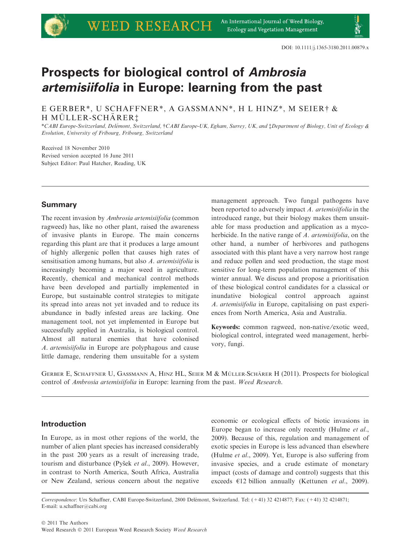# Prospects for biological control of Ambrosia artemisiifolia in Europe: learning from the past

E GERBER\*, U SCHAFFNER\*, A GASSMANN\*, H L HINZ\*, M SEIER† & H MÜLLER-SCHÄRER<sup>†</sup>

\*CABI Europe-Switzerland, Delémont, Switzerland, †CABI Europe-UK, Egham, Surrey, UK, and ‡Department of Biology, Unit of Ecology & Evolution, University of Fribourg, Fribourg, Switzerland

Received 18 November 2010 Revised version accepted 16 June 2011 Subject Editor: Paul Hatcher, Reading, UK

## Summary

The recent invasion by Ambrosia artemisiifolia (common ragweed) has, like no other plant, raised the awareness of invasive plants in Europe. The main concerns regarding this plant are that it produces a large amount of highly allergenic pollen that causes high rates of sensitisation among humans, but also A. artemisiifolia is increasingly becoming a major weed in agriculture. Recently, chemical and mechanical control methods have been developed and partially implemented in Europe, but sustainable control strategies to mitigate its spread into areas not yet invaded and to reduce its abundance in badly infested areas are lacking. One management tool, not yet implemented in Europe but successfully applied in Australia, is biological control. Almost all natural enemies that have colonised A. artemisiifolia in Europe are polyphagous and cause little damage, rendering them unsuitable for a system

management approach. Two fungal pathogens have been reported to adversely impact A. artemisiifolia in the introduced range, but their biology makes them unsuitable for mass production and application as a mycoherbicide. In the native range of A. artemisiifolia, on the other hand, a number of herbivores and pathogens associated with this plant have a very narrow host range and reduce pollen and seed production, the stage most sensitive for long-term population management of this winter annual. We discuss and propose a prioritisation of these biological control candidates for a classical or inundative biological control approach against A. artemisiifolia in Europe, capitalising on past experiences from North America, Asia and Australia.

Keywords: common ragweed, non-native/exotic weed, biological control, integrated weed management, herbivory, fungi.

GERBER E, SCHAFFNER U, GASSMANN A, HINZ HL, SEIER M & MÜLLER-SCHÄRER H (2011). Prospects for biological control of Ambrosia artemisiifolia in Europe: learning from the past. Weed Research.

## Introduction

In Europe, as in most other regions of the world, the number of alien plant species has increased considerably in the past 200 years as a result of increasing trade, tourism and disturbance (Pyšek et al., 2009). However, in contrast to North America, South Africa, Australia or New Zealand, serious concern about the negative economic or ecological effects of biotic invasions in Europe began to increase only recently (Hulme et al., 2009). Because of this, regulation and management of exotic species in Europe is less advanced than elsewhere (Hulme et al., 2009). Yet, Europe is also suffering from invasive species, and a crude estimate of monetary impact (costs of damage and control) suggests that this exceeds  $\epsilon$ 12 billion annually (Kettunen *et al.*, 2009).

Correspondence: Urs Schaffner, CABI Europe-Switzerland, 2800 Delémont, Switzerland. Tel: (+41) 32 4214877; Fax: (+41) 32 4214871; E-mail: u.schaffner@cabi.org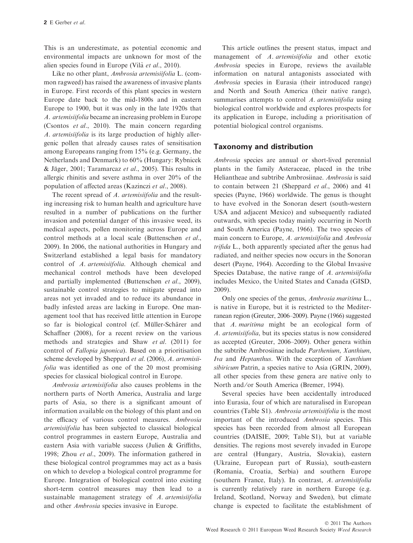This is an underestimate, as potential economic and environmental impacts are unknown for most of the alien species found in Europe (Vilà et al., 2010).

Like no other plant, Ambrosia artemisiifolia L. (common ragweed) has raised the awareness of invasive plants in Europe. First records of this plant species in western Europe date back to the mid-1800s and in eastern Europe to 1900, but it was only in the late 1920s that A. artemisiifolia became an increasing problem in Europe (Csontos et al., 2010). The main concern regarding A. artemisiifolia is its large production of highly allergenic pollen that already causes rates of sensitisation among Europeans ranging from 15% (e.g. Germany, the Netherlands and Denmark) to 60% (Hungary: Rybnicek & Jäger, 2001; Taramarcaz et al., 2005). This results in allergic rhinitis and severe asthma in over 20% of the population of affected areas (Kazinczi et al., 2008).

The recent spread of A. artemisiifolia and the resulting increasing risk to human health and agriculture have resulted in a number of publications on the further invasion and potential danger of this invasive weed, its medical aspects, pollen monitoring across Europe and control methods at a local scale (Buttenschøn et al., 2009). In 2006, the national authorities in Hungary and Switzerland established a legal basis for mandatory control of A. artemisiifolia. Although chemical and mechanical control methods have been developed and partially implemented (Buttenschøn et al., 2009), sustainable control strategies to mitigate spread into areas not yet invaded and to reduce its abundance in badly infested areas are lacking in Europe. One management tool that has received little attention in Europe so far is biological control (cf. Müller-Schärer and Schaffner (2008), for a recent review on the various methods and strategies and Shaw *et al.* (2011) for control of Fallopia japonica). Based on a prioritisation scheme developed by Sheppard et al. (2006), A. artemisiifolia was identified as one of the 20 most promising species for classical biological control in Europe.

Ambrosia artemisiifolia also causes problems in the northern parts of North America, Australia and large parts of Asia, so there is a significant amount of information available on the biology of this plant and on the efficacy of various control measures. Ambrosia artemisiifolia has been subjected to classical biological control programmes in eastern Europe, Australia and eastern Asia with variable success (Julien & Griffiths, 1998; Zhou et al., 2009). The information gathered in these biological control programmes may act as a basis on which to develop a biological control programme for Europe. Integration of biological control into existing short-term control measures may then lead to a sustainable management strategy of A. artemisiifolia and other Ambrosia species invasive in Europe.

This article outlines the present status, impact and management of A. artemisiifolia and other exotic Ambrosia species in Europe, reviews the available information on natural antagonists associated with Ambrosia species in Eurasia (their introduced range) and North and South America (their native range), summarises attempts to control A. artemisiifolia using biological control worldwide and explores prospects for its application in Europe, including a prioritisation of potential biological control organisms.

## Taxonomy and distribution

Ambrosia species are annual or short-lived perennial plants in the family Asteraceae, placed in the tribe Heliantheae and subtribe Ambrosiinae. Ambrosia is said to contain between 21 (Sheppard et al., 2006) and 41 species (Payne, 1966) worldwide. The genus is thought to have evolved in the Sonoran desert (south-western USA and adjacent Mexico) and subsequently radiated outwards, with species today mainly occurring in North and South America (Payne, 1966). The two species of main concern to Europe, A. artemisiifolia and Ambrosia trifida L., both apparently speciated after the genus had radiated, and neither species now occurs in the Sonoran desert (Payne, 1964). According to the Global Invasive Species Database, the native range of A. artemisiifolia includes Mexico, the United States and Canada (GISD, 2009).

Only one species of the genus, Ambrosia maritima L., is native in Europe, but it is restricted to the Mediterranean region (Greuter, 2006–2009). Payne (1966) suggested that A. maritima might be an ecological form of A. artemisiifolia, but its species status is now considered as accepted (Greuter, 2006–2009). Other genera within the subtribe Ambrosiinae include Parthenium, Xanthium, Iva and Heptanthus. With the exception of Xanthium sibiricum Patrin, a species native to Asia (GRIN, 2009), all other species from these genera are native only to North and/or South America (Bremer, 1994).

Several species have been accidentally introduced into Eurasia, four of which are naturalised in European countries (Table S1). Ambrosia artemisiifolia is the most important of the introduced Ambrosia species. This species has been recorded from almost all European countries (DAISIE, 2009; Table S1), but at variable densities. The regions most severely invaded in Europe are central (Hungary, Austria, Slovakia), eastern (Ukraine, European part of Russia), south-eastern (Romania, Croatia, Serbia) and southern Europe (southern France, Italy). In contrast, A. artemisiifolia is currently relatively rare in northern Europe (e.g. Ireland, Scotland, Norway and Sweden), but climate change is expected to facilitate the establishment of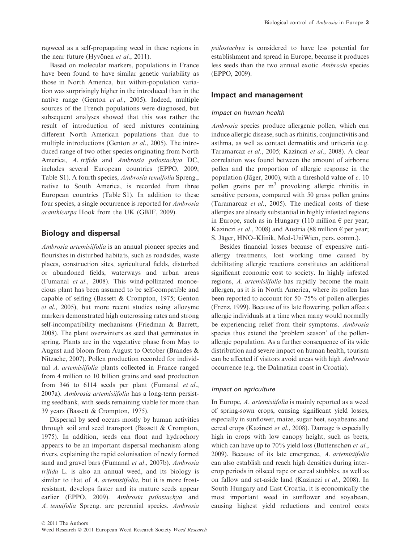ragweed as a self-propagating weed in these regions in the near future (Hyvönen et al., 2011).

Based on molecular markers, populations in France have been found to have similar genetic variability as those in North America, but within-population variation was surprisingly higher in the introduced than in the native range (Genton et al., 2005). Indeed, multiple sources of the French populations were diagnosed, but subsequent analyses showed that this was rather the result of introduction of seed mixtures containing different North American populations than due to multiple introductions (Genton et al., 2005). The introduced range of two other species originating from North America, A. trifida and Ambrosia psilostachya DC, includes several European countries (EPPO, 2009; Table S1). A fourth species, Ambrosia tenuifolia Spreng., native to South America, is recorded from three European countries (Table S1). In addition to these four species, a single occurrence is reported for Ambrosia acanthicarpa Hook from the UK (GBIF, 2009).

#### Biology and dispersal

Ambrosia artemisiifolia is an annual pioneer species and flourishes in disturbed habitats, such as roadsides, waste places, construction sites, agricultural fields, disturbed or abandoned fields, waterways and urban areas (Fumanal et al., 2008). This wind-pollinated monoecious plant has been assumed to be self-compatible and capable of selfing (Bassett & Crompton, 1975; Genton et al., 2005), but more recent studies using allozyme markers demonstrated high outcrossing rates and strong self-incompatibility mechanisms (Friedman & Barrett, 2008). The plant overwinters as seed that germinates in spring. Plants are in the vegetative phase from May to August and bloom from August to October (Brandes & Nitzsche, 2007). Pollen production recorded for individual A. artemisiifolia plants collected in France ranged from 4 million to 10 billion grains and seed production from 346 to 6114 seeds per plant (Fumanal et al., 2007a). Ambrosia artemisiifolia has a long-term persisting seedbank, with seeds remaining viable for more than 39 years (Bassett & Crompton, 1975).

Dispersal by seed occurs mostly by human activities through soil and seed transport (Bassett & Crompton, 1975). In addition, seeds can float and hydrochory appears to be an important dispersal mechanism along rivers, explaining the rapid colonisation of newly formed sand and gravel bars (Fumanal et al., 2007b). Ambrosia trifida L. is also an annual weed, and its biology is similar to that of A. artemisiifolia, but it is more frostresistant, develops faster and its mature seeds appear earlier (EPPO, 2009). Ambrosia psilostachya and A. tenuifolia Spreng. are perennial species. Ambrosia psilostachya is considered to have less potential for establishment and spread in Europe, because it produces less seeds than the two annual exotic Ambrosia species (EPPO, 2009).

## Impact and management

#### Impact on human health

Ambrosia species produce allergenic pollen, which can induce allergic disease, such as rhinitis, conjunctivitis and asthma, as well as contact dermatitis and urticaria (e.g. Taramarcaz et al., 2005; Kazinczi et al., 2008). A clear correlation was found between the amount of airborne pollen and the proportion of allergic response in the population (Jäger, 2000), with a threshold value of  $c$ . 10 pollen grains per  $m<sup>3</sup>$  provoking allergic rhinitis in sensitive persons, compared with 50 grass pollen grains (Taramarcaz et al., 2005). The medical costs of these allergies are already substantial in highly infested regions in Europe, such as in Hungary (110 million  $\epsilon$  per year; Kazinczi et al., 2008) and Austria (88 million  $\epsilon$  per year; S. Jäger, HNO–Klinik, Med-UniWien, pers. comm.).

Besides financial losses because of expensive antiallergy treatments, lost working time caused by debilitating allergic reactions constitutes an additional significant economic cost to society. In highly infested regions, A. artemisiifolia has rapidly become the main allergen, as it is in North America, where its pollen has been reported to account for 50–75% of pollen allergies (Frenz, 1999). Because of its late flowering, pollen affects allergic individuals at a time when many would normally be experiencing relief from their symptoms. Ambrosia species thus extend the 'problem season' of the pollenallergic population. As a further consequence of its wide distribution and severe impact on human health, tourism can be affected if visitors avoid areas with high Ambrosia occurrence (e.g. the Dalmatian coast in Croatia).

#### Impact on agriculture

In Europe, A. artemisiifolia is mainly reported as a weed of spring-sown crops, causing significant yield losses, especially in sunflower, maize, sugar beet, soyabeans and cereal crops (Kazinczi et al., 2008). Damage is especially high in crops with low canopy height, such as beets, which can have up to 70% yield loss (Buttenschøn et al., 2009). Because of its late emergence, A. artemisiifolia can also establish and reach high densities during intercrop periods in oilseed rape or cereal stubbles, as well as on fallow and set-aside land (Kazinczi et al., 2008). In South Hungary and East Croatia, it is economically the most important weed in sunflower and soyabean, causing highest yield reductions and control costs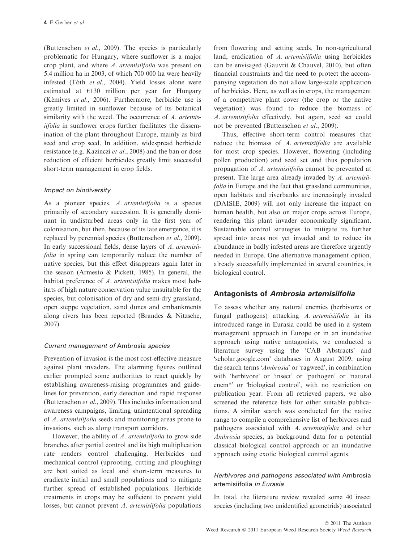(Buttenschøn et al., 2009). The species is particularly problematic for Hungary, where sunflower is a major crop plant, and where A. artemisiifolia was present on 5.4 million ha in 2003, of which 700 000 ha were heavily infested (Tóth et al., 2004). Yield losses alone were estimated at  $€130$  million per year for Hungary (Kémives et al., 2006). Furthermore, herbicide use is greatly limited in sunflower because of its botanical similarity with the weed. The occurrence of A. artemisiifolia in sunflower crops further facilitates the dissemination of the plant throughout Europe, mainly as bird seed and crop seed. In addition, widespread herbicide resistance (e.g. Kazinczi et al., 2008) and the ban or dose reduction of efficient herbicides greatly limit successful short-term management in crop fields.

#### Impact on biodiversity

As a pioneer species, A. artemisiifolia is a species primarily of secondary succession. It is generally dominant in undisturbed areas only in the first year of colonisation, but then, because of its late emergence, it is replaced by perennial species (Buttenschøn et al., 2009). In early successional fields, dense layers of A. artemisiifolia in spring can temporarily reduce the number of native species, but this effect disappears again later in the season (Armesto & Pickett, 1985). In general, the habitat preference of A. artemisiifolia makes most habitats of high nature conservation value unsuitable for the species, but colonisation of dry and semi-dry grassland, open steppe vegetation, sand dunes and embankments along rivers has been reported (Brandes & Nitzsche, 2007).

#### Current management of Ambrosia species

Prevention of invasion is the most cost-effective measure against plant invaders. The alarming figures outlined earlier prompted some authorities to react quickly by establishing awareness-raising programmes and guidelines for prevention, early detection and rapid response (Buttenschøn et al., 2009). This includes information and awareness campaigns, limiting unintentional spreading of A. artemisiifolia seeds and monitoring areas prone to invasions, such as along transport corridors.

However, the ability of A. artemisiifolia to grow side branches after partial control and its high multiplication rate renders control challenging. Herbicides and mechanical control (uprooting, cutting and ploughing) are best suited as local and short-term measures to eradicate initial and small populations and to mitigate further spread of established populations. Herbicide treatments in crops may be sufficient to prevent yield losses, but cannot prevent A. artemisiifolia populations from flowering and setting seeds. In non-agricultural land, eradication of A. artemisiifolia using herbicides can be envisaged (Gauvrit & Chauvel, 2010), but often financial constraints and the need to protect the accompanying vegetation do not allow large-scale application of herbicides. Here, as well as in crops, the management of a competitive plant cover (the crop or the native vegetation) was found to reduce the biomass of A. artemisiifolia effectively, but again, seed set could not be prevented (Buttenschøn et al., 2009).

Thus, effective short-term control measures that reduce the biomass of A. artemisiifolia are available for most crop species. However, flowering (including pollen production) and seed set and thus population propagation of A. artemisiifolia cannot be prevented at present. The large area already invaded by A. artemisiifolia in Europe and the fact that grassland communities, open habitats and riverbanks are increasingly invaded (DAISIE, 2009) will not only increase the impact on human health, but also on major crops across Europe, rendering this plant invader economically significant. Sustainable control strategies to mitigate its further spread into areas not yet invaded and to reduce its abundance in badly infested areas are therefore urgently needed in Europe. One alternative management option, already successfully implemented in several countries, is biological control.

## Antagonists of Ambrosia artemisiifolia

To assess whether any natural enemies (herbivores or fungal pathogens) attacking A. artemisiifolia in its introduced range in Eurasia could be used in a system management approach in Europe or in an inundative approach using native antagonists, we conducted a literature survey using the 'CAB Abstracts' and 'scholar.google.com' databases in August 2009, using the search terms 'Ambrosia' or 'ragweed', in combination with 'herbivore' or 'insect' or 'pathogen' or 'natural enem\*' or 'biological control', with no restriction on publication year. From all retrieved papers, we also screened the reference lists for other suitable publications. A similar search was conducted for the native range to compile a comprehensive list of herbivores and pathogens associated with A. artemisiifolia and other Ambrosia species, as background data for a potential classical biological control approach or an inundative approach using exotic biological control agents.

## Herbivores and pathogens associated with Ambrosia artemisiifolia in Eurasia

In total, the literature review revealed some 40 insect species (including two unidentified geometrids) associated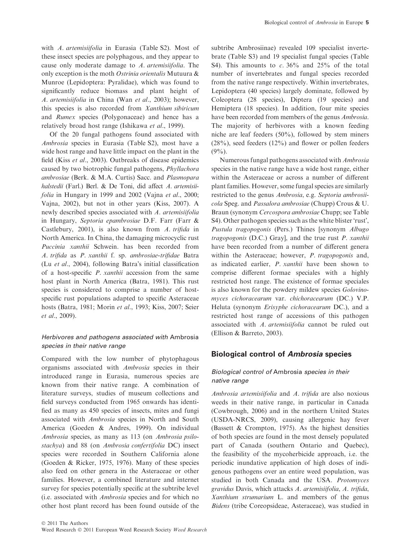with A. artemisiifolia in Eurasia (Table S2). Most of these insect species are polyphagous, and they appear to cause only moderate damage to A. artemisiifolia. The only exception is the moth Ostrinia orientalis Mutuura & Munroe (Lepidoptera: Pyralidae), which was found to significantly reduce biomass and plant height of A. artemisiifolia in China (Wan et al., 2003); however, this species is also recorded from Xanthium sibiricum and Rumex species (Polygonaceae) and hence has a relatively broad host range (Ishikawa et al., 1999).

Of the 20 fungal pathogens found associated with Ambrosia species in Eurasia (Table S2), most have a wide host range and have little impact on the plant in the field (Kiss et al., 2003). Outbreaks of disease epidemics caused by two biotrophic fungal pathogens, Phyllachora ambrosiae (Berk. & M.A. Curtis) Sacc. and Plasmopara halstedii (Farl.) Berl. & De Toni, did affect A. artemisiifolia in Hungary in 1999 and 2002 (Vajna et al., 2000; Vajna, 2002), but not in other years (Kiss, 2007). A newly described species associated with A. artemisiifolia in Hungary, Septoria epambrosiae D.F. Farr (Farr & Castlebury, 2001), is also known from A. trifida in North America. In China, the damaging microcyclic rust Puccinia xanthii Schwein. has been recorded from A. trifida as P. xanthii f. sp. ambrosiae-trifidae Batra (Lu et al., 2004), following Batra's initial classification of a host-specific P. xanthii accession from the same host plant in North America (Batra, 1981). This rust species is considered to comprise a number of hostspecific rust populations adapted to specific Asteraceae hosts (Batra, 1981; Morin et al., 1993; Kiss, 2007; Seier et al., 2009).

#### Herbivores and pathogens associated with Ambrosia species in their native range

Compared with the low number of phytophagous organisms associated with Ambrosia species in their introduced range in Eurasia, numerous species are known from their native range. A combination of literature surveys, studies of museum collections and field surveys conducted from 1965 onwards has identified as many as 450 species of insects, mites and fungi associated with Ambrosia species in North and South America (Goeden & Andres, 1999). On individual Ambrosia species, as many as 113 (on Ambrosia psilostachya) and 88 (on Ambrosia confertifolia DC) insect species were recorded in Southern California alone (Goeden & Ricker, 1975, 1976). Many of these species also feed on other genera in the Asteraceae or other families. However, a combined literature and internet survey for species potentially specific at the subtribe level (i.e. associated with Ambrosia species and for which no other host plant record has been found outside of the subtribe Ambrosiinae) revealed 109 specialist invertebrate (Table S3) and 19 specialist fungal species (Table S4). This amounts to  $c. 36\%$  and  $25\%$  of the total number of invertebrates and fungal species recorded from the native range respectively. Within invertebrates, Lepidoptera (40 species) largely dominate, followed by Coleoptera (28 species), Diptera (19 species) and Hemiptera (18 species). In addition, four mite species have been recorded from members of the genus Ambrosia. The majority of herbivores with a known feeding niche are leaf feeders (50%), followed by stem miners (28%), seed feeders (12%) and flower or pollen feeders  $(9\%)$ .

Numerous fungal pathogens associated with Ambrosia species in the native range have a wide host range, either within the Asteraceae or across a number of different plant families. However, some fungal species are similarly restricted to the genus Ambrosia, e.g. Septoria ambrosiicola Speg. and Passalora ambrosiae (Chupp) Crous & U. Braun (synonym Cercospora ambrosiae Chupp; see Table S4). Other pathogen species such as the white blister 'rust', Pustula tragopogonis (Pers.) Thines [synonym Albugo  $tragopogonis$  (D.C.) Gray], and the true rust  $P.$  xanthii have been recorded from a number of different genera within the Asteraceae; however, P. tragopogonis and, as indicated earlier, P. xanthii have been shown to comprise different formae speciales with a highly restricted host range. The existence of formae speciales is also known for the powdery mildew species Golovinomyces cichoracearum var. chichoracearum (DC.) V.P. Heluta (synonym Erisyphe cichoracearum DC.), and a restricted host range of accessions of this pathogen associated with A. artemisiifolia cannot be ruled out (Ellison & Barreto, 2003).

## Biological control of Ambrosia species

#### Biological control of Ambrosia species in their native range

Ambrosia artemisiifolia and A. trifida are also noxious weeds in their native range, in particular in Canada (Cowbrough, 2006) and in the northern United States (USDA-NRCS, 2009), causing allergenic hay fever (Bassett & Crompton, 1975). As the highest densities of both species are found in the most densely populated part of Canada (southern Ontario and Quebec), the feasibility of the mycoherbicide approach, i.e. the periodic inundative application of high doses of indigenous pathogens over an entire weed population, was studied in both Canada and the USA. Protomyces gravidus Davis, which attacks A. artemisiifolia, A. trifida, Xanthium strumarium L. and members of the genus Bidens (tribe Coreopsideae, Asteraceae), was studied in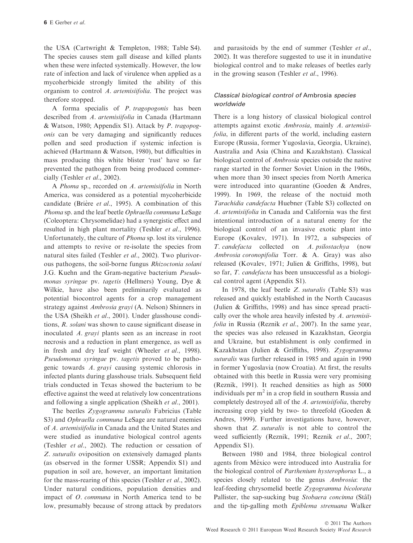the USA (Cartwright & Templeton, 1988; Table S4). The species causes stem gall disease and killed plants when these were infected systemically. However, the low rate of infection and lack of virulence when applied as a mycoherbicide strongly limited the ability of this organism to control A. artemisiifolia. The project was therefore stopped.

A forma specialis of P. tragopogonis has been described from A. artemisiifolia in Canada (Hartmann & Watson, 1980; Appendix S1). Attack by P. tragopogonis can be very damaging and significantly reduces pollen and seed production if systemic infection is achieved (Hartmann & Watson, 1980), but difficulties in mass producing this white blister 'rust' have so far prevented the pathogen from being produced commercially (Teshler et al., 2002).

A Phoma sp., recorded on A. artemisiifolia in North America, was considered as a potential mycoherbicide candidate (Brière et al., 1995). A combination of this Phoma sp. and the leaf beetle Ophraella communa LeSage (Coleoptera: Chrysomelidae) had a synergistic effect and resulted in high plant mortality (Teshler et al., 1996). Unfortunately, the culture of Phoma sp. lost its virulence and attempts to revive or re-isolate the species from natural sites failed (Teshler et al., 2002). Two plurivorous pathogens, the soil-borne fungus Rhizoctonia solani J.G. Kuehn and the Gram-negative bacterium Pseudomonas syringae pv. tagetis (Hellmers) Young, Dye & Wilkie, have also been preliminarily evaluated as potential biocontrol agents for a crop management strategy against *Ambrosia grayi* (A. Nelson) Shinners in the USA (Sheikh et al., 2001). Under glasshouse conditions, R. solani was shown to cause significant disease in inoculated A. grayi plants seen as an increase in root necrosis and a reduction in plant emergence, as well as in fresh and dry leaf weight (Wheeler et al., 1998). Pseudomonas syringae pv. tagetis proved to be pathogenic towards A. grayi causing systemic chlorosis in infected plants during glasshouse trials. Subsequent field trials conducted in Texas showed the bacterium to be effective against the weed at relatively low concentrations and following a single application (Sheikh et al., 2001).

The beetles Zygogramma suturalis Fabricius (Table S3) and *Ophraella communa* LeSage are natural enemies of A. artemisiifolia in Canada and the United States and were studied as inundative biological control agents (Teshler et al., 2002). The reduction or cessation of Z. suturalis oviposition on extensively damaged plants (as observed in the former USSR; Appendix S1) and pupation in soil are, however, an important limitation for the mass-rearing of this species (Teshler et al., 2002). Under natural conditions, population densities and impact of O. communa in North America tend to be low, presumably because of strong attack by predators and parasitoids by the end of summer (Teshler et al., 2002). It was therefore suggested to use it in inundative biological control and to make releases of beetles early in the growing season (Teshler et al., 1996).

## Classical biological control of Ambrosia species worldwide

There is a long history of classical biological control attempts against exotic Ambrosia, mainly A. artemisiifolia, in different parts of the world, including eastern Europe (Russia, former Yugoslavia, Georgia, Ukraine), Australia and Asia (China and Kazakhstan). Classical biological control of Ambrosia species outside the native range started in the former Soviet Union in the 1960s, when more than 30 insect species from North America were introduced into quarantine (Goeden & Andres, 1999). In 1969, the release of the noctuid moth Tarachidia candefacta Huebner (Table S3) collected on A. artemisiifolia in Canada and California was the first intentional introduction of a natural enemy for the biological control of an invasive exotic plant into Europe (Kovalev, 1971). In 1972, a subspecies of T. candefacta collected on A. psilostachya (now Ambrosia coronopifolia Torr. & A. Gray) was also released (Kovalev, 1971; Julien & Griffiths, 1998), but so far, T. candefacta has been unsuccessful as a biological control agent (Appendix S1).

In 1978, the leaf beetle Z. suturalis (Table S3) was released and quickly established in the North Caucasus (Julien & Griffiths, 1998) and has since spread practically over the whole area heavily infested by A. artemisiifolia in Russia (Reznik et al., 2007). In the same year, the species was also released in Kazakhstan, Georgia and Ukraine, but establishment is only confirmed in Kazakhstan (Julien & Griffiths, 1998). Zygogramma suturalis was further released in 1985 and again in 1990 in former Yugoslavia (now Croatia). At first, the results obtained with this beetle in Russia were very promising (Reznik, 1991). It reached densities as high as 5000 individuals per  $m<sup>2</sup>$  in a crop field in southern Russia and completely destroyed all of the A. artemisiifolia, thereby increasing crop yield by two- to threefold (Goeden & Andres, 1999). Further investigations have, however, shown that Z. suturalis is not able to control the weed sufficiently (Reznik, 1991; Reznik et al., 2007; Appendix S1).

Between 1980 and 1984, three biological control agents from México were introduced into Australia for the biological control of Parthenium hysterophorus L., a species closely related to the genus Ambrosia: the leaf-feeding chrysomelid beetle Zygogramma bicolorata Pallister, the sap-sucking bug Stobaera concinna (Stål) and the tip-galling moth Epiblema strenuana Walker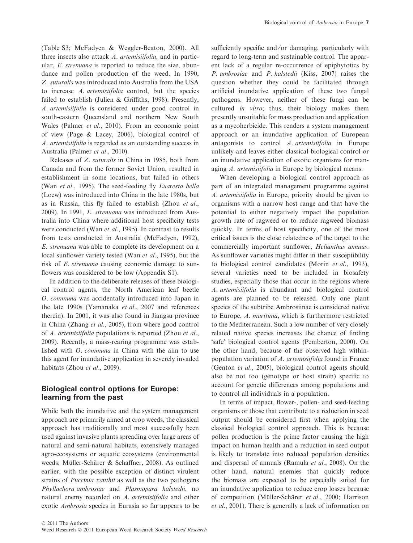(Table S3; McFadyen & Weggler-Beaton, 2000). All three insects also attack A. artemisiifolia, and in particular, E. strenuana is reported to reduce the size, abundance and pollen production of the weed. In 1990, Z. suturalis was introduced into Australia from the USA to increase A. artemisiifolia control, but the species failed to establish (Julien & Griffiths, 1998). Presently, A. artemisiifolia is considered under good control in south-eastern Queensland and northern New South Wales (Palmer et al., 2010). From an economic point of view (Page & Lacey, 2006), biological control of A. artemisiifolia is regarded as an outstanding success in Australia (Palmer et al., 2010).

Releases of Z. suturalis in China in 1985, both from Canada and from the former Soviet Union, resulted in establishment in some locations, but failed in others (Wan et al., 1995). The seed-feeding fly Euaresta bella (Loew) was introduced into China in the late 1980s, but as in Russia, this fly failed to establish (Zhou et al., 2009). In 1991, E. strenuana was introduced from Australia into China where additional host specificity tests were conducted (Wan et al., 1995). In contrast to results from tests conducted in Australia (McFadyen, 1992), E. strenuana was able to complete its development on a local sunflower variety tested (Wan et al., 1995), but the risk of E. strenuana causing economic damage to sunflowers was considered to be low (Appendix S1).

In addition to the deliberate releases of these biological control agents, the North American leaf beetle O. communa was accidentally introduced into Japan in the late 1990s (Yamanaka et al., 2007 and references therein). In 2001, it was also found in Jiangsu province in China (Zhang et al., 2005), from where good control of A. artemisiifolia populations is reported (Zhou et al., 2009). Recently, a mass-rearing programme was established with O. communa in China with the aim to use this agent for inundative application in severely invaded habitats (Zhou et al., 2009).

## Biological control options for Europe: learning from the past

While both the inundative and the system management approach are primarily aimed at crop weeds, the classical approach has traditionally and most successfully been used against invasive plants spreading over large areas of natural and semi-natural habitats, extensively managed agro-ecosystems or aquatic ecosystems (environmental weeds; Müller-Schärer & Schaffner, 2008). As outlined earlier, with the possible exception of distinct virulent strains of Puccinia xanthii as well as the two pathogens Phyllachora ambrosiae and Plasmopara halstedii, no natural enemy recorded on A. artemisiifolia and other exotic Ambrosia species in Eurasia so far appears to be sufficiently specific and/or damaging, particularly with regard to long-term and sustainable control. The apparent lack of a regular re-occurrence of epiphytotics by P. ambrosiae and P. halstedii (Kiss, 2007) raises the question whether they could be facilitated through artificial inundative application of these two fungal pathogens. However, neither of these fungi can be cultured in vitro; thus, their biology makes them presently unsuitable for mass production and application as a mycoherbicide. This renders a system management approach or an inundative application of European antagonists to control A. artemisiifolia in Europe unlikely and leaves either classical biological control or an inundative application of exotic organisms for managing A. artemisiifolia in Europe by biological means.

When developing a biological control approach as part of an integrated management programme against A. artemisiifolia in Europe, priority should be given to organisms with a narrow host range and that have the potential to either negatively impact the population growth rate of ragweed or to reduce ragweed biomass quickly. In terms of host specificity, one of the most critical issues is the close relatedness of the target to the commercially important sunflower, Helianthus annuus. As sunflower varieties might differ in their susceptibility to biological control candidates (Morin et al., 1993), several varieties need to be included in biosafety studies, especially those that occur in the regions where A. artemisiifolia is abundant and biological control agents are planned to be released. Only one plant species of the subtribe Ambrosiinae is considered native to Europe, A. maritima, which is furthermore restricted to the Mediterranean. Such a low number of very closely related native species increases the chance of finding 'safe' biological control agents (Pemberton, 2000). On the other hand, because of the observed high withinpopulation variation of A. artemisiifolia found in France (Genton et al., 2005), biological control agents should also be not too (genotype or host strain) specific to account for genetic differences among populations and to control all individuals in a population.

In terms of impact, flower-, pollen- and seed-feeding organisms or those that contribute to a reduction in seed output should be considered first when applying the classical biological control approach. This is because pollen production is the prime factor causing the high impact on human health and a reduction in seed output is likely to translate into reduced population densities and dispersal of annuals (Ramula et al., 2008). On the other hand, natural enemies that quickly reduce the biomass are expected to be especially suited for an inundative application to reduce crop losses because of competition (Müller-Schärer et al., 2000; Harrison et al., 2001). There is generally a lack of information on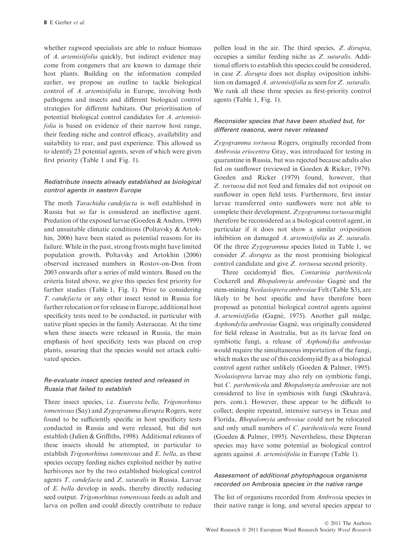whether ragweed specialists are able to reduce biomass of A. artemisiifolia quickly, but indirect evidence may come from congeners that are known to damage their host plants. Building on the information compiled earlier, we propose an outline to tackle biological control of A. artemisiifolia in Europe, involving both pathogens and insects and different biological control strategies for different habitats. Our prioritisation of potential biological control candidates for A. artemisiifolia is based on evidence of their narrow host range, their feeding niche and control efficacy, availability and suitability to rear, and past experience. This allowed us to identify 23 potential agents, seven of which were given first priority (Table 1 and Fig. 1).

## Redistribute insects already established as biological control agents in eastern Europe

The moth *Tarachidia candefacta* is well established in Russia but so far is considered an ineffective agent. Predation of the exposed larvae (Goeden & Andres, 1999) and unsuitable climatic conditions (Poltavsky & Artokhin, 2006) have been stated as potential reasons for its failure. While in the past, strong frosts might have limited population growth, Poltavsky and Artokhin (2006) observed increased numbers in Rostov-on-Don from 2003 onwards after a series of mild winters. Based on the criteria listed above, we give this species first priority for further studies (Table 1, Fig. 1). Prior to considering T. candefacta or any other insect tested in Russia for further relocation or for release in Europe, additional host specificity tests need to be conducted, in particular with native plant species in the family Asteraceae. At the time when these insects were released in Russia, the main emphasis of host specificity tests was placed on crop plants, assuring that the species would not attack cultivated species.

## Re-evaluate insect species tested and released in Russia that failed to establish

Three insect species, i.e. Euaresta bella, Trigonorhinus tomentosus (Say) and Zygogramma disrupta Rogers, were found to be sufficiently specific in host specificity tests conducted in Russia and were released, but did not establish (Julien & Griffiths, 1998). Additional releases of these insects should be attempted, in particular to establish Trigonorhinus tomentosus and E. bella, as these species occupy feeding niches exploited neither by native herbivores nor by the two established biological control agents T. candefacta and Z. suturalis in Russia. Larvae of E. bella develop in seeds, thereby directly reducing seed output. Trigonorhinus tomentosus feeds as adult and larva on pollen and could directly contribute to reduce

pollen load in the air. The third species, Z. disrupta, occupies a similar feeding niche as Z. suturalis. Additional efforts to establish this species could be considered, in case Z. disrupta does not display oviposition inhibition on damaged A. artemisiifolia as seen for Z. suturalis. We rank all these three species as first-priority control agents (Table 1, Fig. 1).

## Reconsider species that have been studied but, for different reasons, were never released

Zygogramma tortuosa Rogers, originally recorded from Ambrosia eriocentra Gray, was introduced for testing in quarantine in Russia, but was rejected because adults also fed on sunflower (reviewed in Goeden & Ricker, 1979). Goeden and Ricker (1979) found, however, that Z. tortuosa did not feed and females did not oviposit on sunflower in open field tests. Furthermore, first instar larvae transferred onto sunflowers were not able to complete their development. Zygogramma tortuosa might therefore be reconsidered as a biological control agent, in particular if it does not show a similar oviposition inhibition on damaged A. artemisiifolia as Z. suturalis. Of the three  $Zygogramma$  species listed in Table 1, we consider Z. disrupta as the most promising biological control candidate and give Z. tortuosa second priority.

Three cecidomyid flies, Contarinia partheniicola Cockerell and Rhopalomyia ambrosiae Gagné and the stem-mining Neolasioptera ambrosiae Felt (Table S3), are likely to be host specific and have therefore been proposed as potential biological control agents against A. artemisiifolia (Gagné, 1975). Another gall midge, Asphondylia ambrosiae Gagné, was originally considered for field release in Australia, but as its larvae feed on symbiotic fungi, a release of Asphondylia ambrosiae would require the simultaneous importation of the fungi, which makes the use of this cecidomyiid fly as a biological control agent rather unlikely (Goeden & Palmer, 1995). Neolasioptera larvae may also rely on symbiotic fungi, but C. partheniicola and Rhopalomyia ambrosiae are not considered to live in symbiosis with fungi (Skuhravá, pers. com.). However, these appear to be difficult to collect; despite repeated, intensive surveys in Texas and Florida, Rhopalomyia ambrosiae could not be relocated and only small numbers of C. partheniicola were found (Goeden & Palmer, 1995). Nevertheless, these Dipteran species may have some potential as biological control agents against A. artemisiifolia in Europe (Table 1).

#### Assessment of additional phytophagous organisms recorded on Ambrosia species in the native range

The list of organisms recorded from Ambrosia species in their native range is long, and several species appear to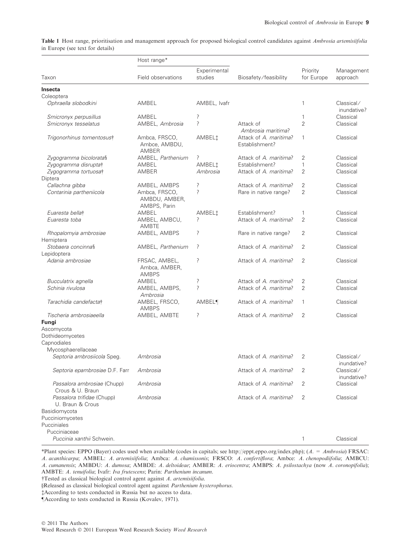Table 1 Host range, prioritisation and management approach for proposed biological control candidates against Ambrosia artemisiifolia in Europe (see text for details)

| Taxon                                                                              | Host range*                                    |                         |                                          |                        |                           |
|------------------------------------------------------------------------------------|------------------------------------------------|-------------------------|------------------------------------------|------------------------|---------------------------|
|                                                                                    | Field observations                             | Experimental<br>studies | Biosafety/feasibility                    | Priority<br>for Europe | Management<br>approach    |
| Insecta                                                                            |                                                |                         |                                          |                        |                           |
| Coleoptera                                                                         |                                                |                         |                                          |                        |                           |
| Ophraella slobodkini                                                               | <b>AMBEL</b>                                   | AMBEL, Ivafr            |                                          | 1                      | Classical/<br>inundative? |
| Smicronyx perpusillus                                                              | AMBEL                                          | ?                       |                                          | $\mathbf{1}$           | Classical                 |
| Smicronyx tesselatus                                                               | AMBEL, Ambrosia                                | ?                       | Attack of<br>Ambrosia maritima?          | $\overline{2}$         | Classical                 |
| Trigonorhinus tomentosust                                                          | Ambca, FRSCO,<br>Ambce, AMBDU,<br>AMBER        | AMBEL:                  | Attack of A. maritima?<br>Establishment? | $\mathbf{1}$           | Classical                 |
| Zygogramma bicolorata§                                                             | AMBEL, Parthenium                              | ?                       | Attack of A. maritima?                   | 2                      | Classical                 |
| Zygogramma disruptat                                                               | AMBEL                                          | AMBEL:                  | Establishment?                           | $\mathbf{1}$           | Classical                 |
| Zygogramma tortuosa†<br>Diptera                                                    | AMBER                                          | Ambrosia                | Attack of A. maritima?                   | $\overline{2}$         | Classical                 |
| Callachna gibba                                                                    | AMBEL, AMBPS                                   | ?                       | Attack of A. maritima?                   | $\overline{2}$         | Classical                 |
| Contarinia partheniicola                                                           | Ambca, FRSCO,<br>AMBDU, AMBER,<br>AMBPS, Parin | ?                       | Rare in native range?                    | $\overline{2}$         | Classical                 |
| Euaresta bellat                                                                    | AMBEL                                          | AMBEL;                  | Establishment?                           | 1                      | Classical                 |
| Euaresta toba                                                                      | AMBEL, AMBCU,<br>AMBTE                         | ?                       | Attack of A. maritima?                   | $\overline{2}$         | Classical                 |
| Rhopalomyia ambrosiae                                                              | AMBEL, AMBPS                                   | ?                       | Rare in native range?                    | 2                      | Classical                 |
| Hemiptera                                                                          |                                                |                         |                                          |                        |                           |
| Stobaera concinna§<br>Lepidoptera                                                  | AMBEL, Parthenium                              | ?                       | Attack of A. maritima?                   | 2                      | Classical                 |
| Adania ambrosiae                                                                   | FRSAC, AMBEL,<br>Ambca, AMBER,<br><b>AMBPS</b> | ?                       | Attack of A. maritima?                   | 2                      | Classical                 |
| Bucculatrix agnella                                                                | AMBEL                                          | ?                       | Attack of A. maritima?                   | 2                      | Classical                 |
| Schinia rivulosa                                                                   | AMBEL, AMBPS,<br>Ambrosia                      | $\overline{?}$          | Attack of A. maritima?                   | $\overline{2}$         | Classical                 |
| Tarachidia candefactat                                                             | AMBEL, FRSCO,<br><b>AMBPS</b>                  | AMBEL¶                  | Attack of A. maritima?                   | 1                      | Classical                 |
| Tischeria ambrosiaeella<br>Fungi                                                   | AMBEL, AMBTE                                   | ?                       | Attack of A. maritima?                   | $\overline{2}$         | Classical                 |
| Ascomycota<br>Dothideomycetes<br>Capnodiales<br>Mycosphaerellaceae                 |                                                |                         |                                          |                        |                           |
| Septoria ambrosiicola Speg.                                                        | Ambrosia                                       |                         | Attack of A. maritima?                   | 2                      | Classical/<br>inundative? |
| Septoria epambrosiae D.F. Farr                                                     | Ambrosia                                       |                         | Attack of A. maritima?                   | 2                      | Classical/<br>inundative? |
| Passalora ambrosiae (Chupp)<br>Crous & U. Braun                                    | Ambrosia                                       |                         | Attack of A. maritima?                   | 2                      | Classical                 |
| Passalora trifidae (Chupp)<br>U. Braun & Crous<br>Basidiomycota<br>Pucciniomycetes | Ambrosia                                       |                         | Attack of A. maritima?                   | 2                      | Classical                 |
| Pucciniales                                                                        |                                                |                         |                                          |                        |                           |
| Pucciniaceae<br>Puccinia xanthii Schwein.                                          |                                                |                         |                                          |                        | Classical                 |

\*Plant species: EPPO (Bayer) codes used when available (codes in capitals; see http://eppt.eppo.org/index.php); (A. = Ambrosia) FRSAC: A. acanthicarpa; AMBEL: A. artemisiifolia; Ambca: A. chamissonis; FRSCO: A. confertiflora; Ambce: A. chenopodiifolia; AMBCU: A. cumanensis; AMBDU: A. dumosa; AMBDE: A. deltoideae; AMBER: A. eriocentra; AMBPS: A. psilostachya (now A. coronopifolia); AMBTE: A. tenuifolia; Ivafr: Iva frutescens; Parin: Parthenium incanum.

!Tested as classical biological control agent against A. artemisiifolia.

§Released as classical biological control agent against Parthenium hysterophorus.

"According to tests conducted in Russia but no access to data.

–According to tests conducted in Russia (Kovalev, 1971).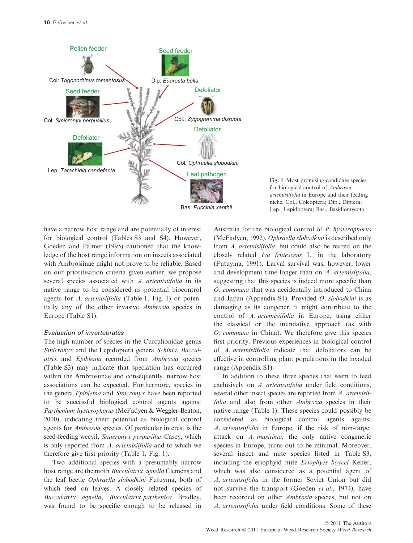

Fig. 1 Most promising candidate species for biological control of Ambrosia artemisiifolia in Europe and their feeding niche. Col., Coleoptera; Dip., Diptera; Lep., Lepidoptera; Bas., Basidiomycota.

have a narrow host range and are potentially of interest for biological control (Tables S3 and S4). However, Goeden and Palmer (1995) cautioned that the knowledge of the host range information on insects associated with Ambrosiinae might not prove to be reliable. Based on our prioritisation criteria given earlier, we propose several species associated with A. artemisiifolia in its native range to be considered as potential biocontrol agents for A. artemisiifolia (Table 1, Fig. 1) or potentially any of the other invasive Ambrosia species in Europe (Table S1).

#### Evaluation of invertebrates

The high number of species in the Curculionidae genus Smicronyx and the Lepidoptera genera Schinia, Bucculatrix and Epiblema recorded from Ambrosia species (Table S3) may indicate that speciation has occurred within the Ambrosiinae and consequently, narrow host associations can be expected. Furthermore, species in the genera Epiblema and Smicronyx have been reported to be successful biological control agents against Parthenium hysterophorus (McFadyen & Weggler-Beaton, 2000), indicating their potential as biological control agents for Ambrosia species. Of particular interest is the seed-feeding weevil, Smicronyx perpusillus Casey, which is only reported from A. artemisiifolia and to which we therefore give first priority (Table 1, Fig. 1).

Two additional species with a presumably narrow host range are the moth *Bucculatrix agnella* Clemens and the leaf beetle Ophraella slobodkini Futuyma, both of which feed on leaves. A closely related species of Bucculatrix agnella, Bucculatrix parthenica Bradley, was found to be specific enough to be released in Australia for the biological control of P. hysterophorus (McFadyen, 1992). Ophraella slobodkini is described only from A. artemisiifolia, but could also be reared on the closely related Iva frutescens L. in the laboratory (Futuyma, 1991). Larval survival was, however, lower and development time longer than on A. artemisiifolia, suggesting that this species is indeed more specific than O. communa that was accidentally introduced to China and Japan (Appendix S1). Provided O. slobodkini is as damaging as its congener, it might contribute to the control of A. artemisiifolia in Europe, using either the classical or the inundative approach (as with O. communa in China). We therefore give this species first priority. Previous experiences in biological control of A. artemisiifolia indicate that defoliators can be effective in controlling plant populations in the invaded range (Appendix S1).

In addition to these three species that seem to feed exclusively on A. artemisiifolia under field conditions, several other insect species are reported from A. artemisiifolia and also from other Ambrosia species in their native range (Table 1). These species could possibly be considered as biological control agents against A. artemisiifolia in Europe, if the risk of non-target attack on A. maritima, the only native congeneric species in Europe, turns out to be minimal. Moreover, several insect and mite species listed in Table S3, including the eriophyid mite Eriophyes boycei Keifer, which was also considered as a potential agent of A. artemisiifolia in the former Soviet Union but did not survive the transport (Goeden et al., 1974), have been recorded on other Ambrosia species, but not on A. artemisiifolia under field conditions. Some of these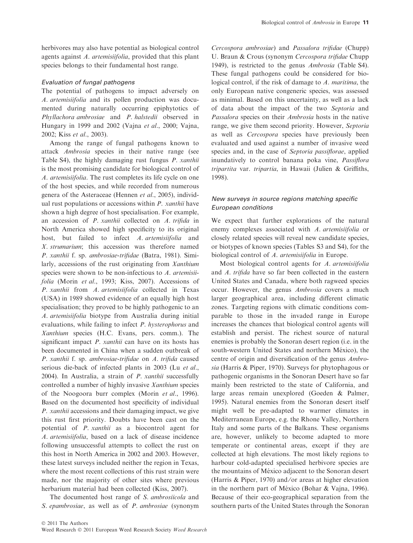herbivores may also have potential as biological control agents against A. artemisiifolia, provided that this plant species belongs to their fundamental host range.

#### Evaluation of fungal pathogens

The potential of pathogens to impact adversely on A. artemisiifolia and its pollen production was documented during naturally occurring epiphytotics of Phyllachora ambrosiae and P. halstedii observed in Hungary in 1999 and 2002 (Vajna et al., 2000; Vajna, 2002; Kiss et al., 2003).

Among the range of fungal pathogens known to attack Ambrosia species in their native range (see Table S4), the highly damaging rust fungus P. xanthii is the most promising candidate for biological control of A. artemisiifolia. The rust completes its life cycle on one of the host species, and while recorded from numerous genera of the Asteraceae (Hennen et al., 2005), individual rust populations or accessions within  $P$ . *xanthii* have shown a high degree of host specialisation. For example, an accession of P. xanthii collected on A. trifida in North America showed high specificity to its original host, but failed to infect A. artemisiifolia and X. strumarium; this accession was therefore named P. xanthii f. sp. ambrosiae-trifidae (Batra, 1981). Similarly, accessions of the rust originating from Xanthium species were shown to be non-infectious to A. artemisiifolia (Morin et al., 1993; Kiss, 2007). Accessions of P. xanthii from A. artemisiifolia collected in Texas (USA) in 1989 showed evidence of an equally high host specialisation; they proved to be highly pathogenic to an A. artemisiifolia biotype from Australia during initial evaluations, while failing to infect P. hysterophorus and Xanthium species (H.C. Evans, pers. comm.). The significant impact *P. xanthii* can have on its hosts has been documented in China when a sudden outbreak of P. xanthii f. sp. ambrosiae-trifidae on A. trifida caused serious die-back of infected plants in 2003 (Lu et al., 2004). In Australia, a strain of P. xanthii successfully controlled a number of highly invasive Xanthium species of the Noogoora burr complex (Morin et al., 1996). Based on the documented host specificity of individual P. xanthii accessions and their damaging impact, we give this rust first priority. Doubts have been cast on the potential of P. xanthii as a biocontrol agent for A. artemisiifolia, based on a lack of disease incidence following unsuccessful attempts to collect the rust on this host in North America in 2002 and 2003. However, these latest surveys included neither the region in Texas, where the most recent collections of this rust strain were made, nor the majority of other sites where previous herbarium material had been collected (Kiss, 2007).

The documented host range of S. ambrosiicola and S. epambrosiae, as well as of P. ambrosiae (synonym

Cercospora ambrosiae) and Passalora trifidae (Chupp) U. Braun & Crous (synonym Cercospora trifidae Chupp 1949), is restricted to the genus Ambrosia (Table S4). These fungal pathogens could be considered for biological control, if the risk of damage to A. maritima, the only European native congeneric species, was assessed as minimal. Based on this uncertainty, as well as a lack of data about the impact of the two Septoria and Passalora species on their Ambrosia hosts in the native range, we give them second priority. However, Septoria as well as Cercospora species have previously been evaluated and used against a number of invasive weed species and, in the case of Septoria passiflorae, applied inundatively to control banana poka vine, Passiflora tripartita var. tripartia, in Hawaii (Julien & Griffiths, 1998).

## New surveys in source regions matching specific European conditions

We expect that further explorations of the natural enemy complexes associated with A. artemisiifolia or closely related species will reveal new candidate species, or biotypes of known species (Tables S3 and S4), for the biological control of A. artemisiifolia in Europe.

Most biological control agents for A. artemisiifolia and A. trifida have so far been collected in the eastern United States and Canada, where both ragweed species occur. However, the genus Ambrosia covers a much larger geographical area, including different climatic zones. Targeting regions with climatic conditions comparable to those in the invaded range in Europe increases the chances that biological control agents will establish and persist. The richest source of natural enemies is probably the Sonoran desert region (i.e. in the south-western United States and northern México), the centre of origin and diversification of the genus Ambrosia (Harris & Piper, 1970). Surveys for phytophagous or pathogenic organisms in the Sonoran Desert have so far mainly been restricted to the state of California, and large areas remain unexplored (Goeden & Palmer, 1995). Natural enemies from the Sonoran desert itself might well be pre-adapted to warmer climates in Mediterranean Europe, e.g. the Rhone Valley, Northern Italy and some parts of the Balkans. These organisms are, however, unlikely to become adapted to more temperate or continental areas, except if they are collected at high elevations. The most likely regions to harbour cold-adapted specialised herbivore species are the mountains of México adjacent to the Sonoran desert (Harris & Piper, 1970) and ⁄ or areas at higher elevation in the northern part of México (Bohar  $& Vajna$ , 1996). Because of their eco-geographical separation from the southern parts of the United States through the Sonoran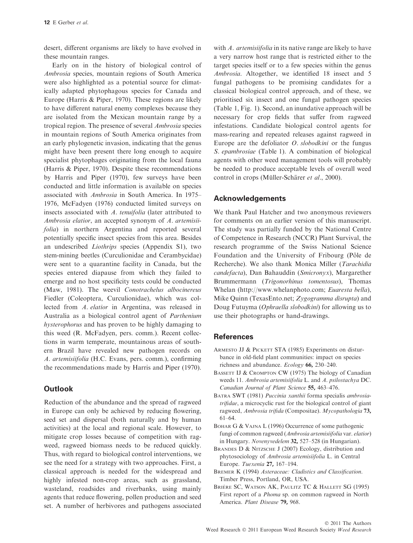desert, different organisms are likely to have evolved in these mountain ranges.

Early on in the history of biological control of Ambrosia species, mountain regions of South America were also highlighted as a potential source for climatically adapted phytophagous species for Canada and Europe (Harris & Piper, 1970). These regions are likely to have different natural enemy complexes because they are isolated from the Mexican mountain range by a tropical region. The presence of several Ambrosia species in mountain regions of South America originates from an early phylogenetic invasion, indicating that the genus might have been present there long enough to acquire specialist phytophages originating from the local fauna (Harris & Piper, 1970). Despite these recommendations by Harris and Piper (1970), few surveys have been conducted and little information is available on species associated with Ambrosia in South America. In 1975– 1976, McFadyen (1976) conducted limited surveys on insects associated with A. tenuifolia (later attributed to Ambrosia elatior, an accepted synonym of A. artemisiifolia) in northern Argentina and reported several potentially specific insect species from this area. Besides an undescribed Liothrips species (Appendix S1), two stem-mining beetles (Curculionidae and Cerambycidae) were sent to a quarantine facility in Canada, but the species entered diapause from which they failed to emerge and no host specificity tests could be conducted (Maw, 1981). The weevil Conotrachelus albocinereus Fiedler (Coleoptera, Curculionidae), which was collected from A. elatior in Argentina, was released in Australia as a biological control agent of Parthenium hysterophorus and has proven to be highly damaging to this weed (R. McFadyen, pers. comm.). Recent collections in warm temperate, mountainous areas of southern Brazil have revealed new pathogen records on A. artemisiifolia (H.C. Evans, pers. comm.), confirming the recommendations made by Harris and Piper (1970).

## **Outlook**

Reduction of the abundance and the spread of ragweed in Europe can only be achieved by reducing flowering, seed set and dispersal (both naturally and by human activities) at the local and regional scale. However, to mitigate crop losses because of competition with ragweed, ragweed biomass needs to be reduced quickly. Thus, with regard to biological control interventions, we see the need for a strategy with two approaches. First, a classical approach is needed for the widespread and highly infested non-crop areas, such as grassland, wasteland, roadsides and riverbanks, using mainly agents that reduce flowering, pollen production and seed set. A number of herbivores and pathogens associated with A. artemisiifolia in its native range are likely to have a very narrow host range that is restricted either to the target species itself or to a few species within the genus Ambrosia. Altogether, we identified 18 insect and 5 fungal pathogens to be promising candidates for a classical biological control approach, and of these, we prioritised six insect and one fungal pathogen species (Table 1, Fig. 1). Second, an inundative approach will be necessary for crop fields that suffer from ragweed infestations. Candidate biological control agents for mass-rearing and repeated releases against ragweed in Europe are the defoliator O. slobodkini or the fungus S. epambrosiae (Table 1). A combination of biological agents with other weed management tools will probably be needed to produce acceptable levels of overall weed control in crops (Müller-Schärer et al., 2000).

## Acknowledgements

We thank Paul Hatcher and two anonymous reviewers for comments on an earlier version of this manuscript. The study was partially funded by the National Centre of Competence in Research (NCCR) Plant Survival, the research programme of the Swiss National Science Foundation and the University of Fribourg (Pôle de Recherche). We also thank Monica Miller (Tarachidia candefacta), Dan Bahauddin (Smicronyx), Margarether Brummermann (Trigonorhinus tomentosus), Thomas Whelan (http://www.whelanphoto.com; Euaresta bella), Mike Quinn (TexasEnto.net; Zygogramma disrupta) and Doug Futuyma (Ophraella slobodkini) for allowing us to use their photographs or hand-drawings.

#### **References**

- ARMESTO JJ & PICKETT STA (1985) Experiments on disturbance in old-field plant communities: impact on species richness and abundance. Ecology 66, 230–240.
- BASSETT IJ & CROMPTON CW (1975) The biology of Canadian weeds 11. Ambrosia artemisiifolia L. and A. psilostachya DC. Canadian Journal of Plant Science 55, 463–476.
- BATRA SWT (1981) Puccinia xanthii forma specialis ambrosiatrifidae, a microcyclic rust for the biological control of giant ragweed, Ambrosia trifida (Compositae). Mycopathologia 73, 61–64.
- BOHAR G & VAJNA L (1996) Occurrence of some pathogenic fungi of common ragweed (Ambrosia artemisiifolia var. elatior) in Hungary. Novenyvedelem 32, 527–528 (in Hungarian).
- BRANDES D & NITZSCHE J (2007) Ecology, distribution and phytosociology of Ambrosia artemisiifolia L. in Central Europe. Tuexenia 27, 167–194.
- BREMER K (1994) Asteraceae: Cladistics and Classification. Timber Press, Portland, OR, USA.
- BRIÈRE SC, WATSON AK, PAULITZ TC & HALLETT SG (1995) First report of a Phoma sp. on common ragweed in North America. Plant Disease 79, 968.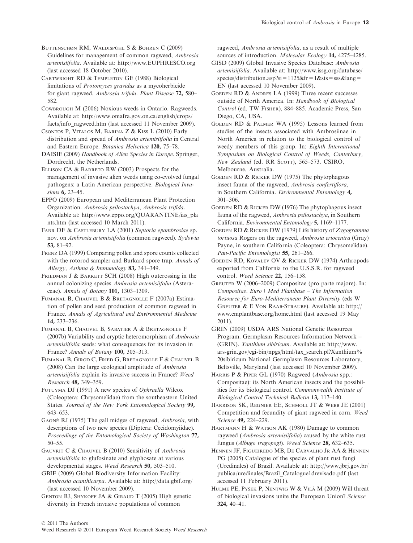BUTTENSCHØN RM, WALDISPÜHL S & BOHREN C (2009) Guidelines for management of common ragweed, Ambrosia artemisiifolia. Available at: http://www.EUPHRESCO.org (last accessed 18 October 2010).

CARTWRIGHT RD & TEMPLETON GE (1988) Biological limitations of Protomyces gravidus as a mycoherbicide for giant ragweed, Ambrosia trifida. Plant Disease 72, 580– 582.

COWBROUGH M (2006) Noxious weeds in Ontario. Ragweeds. Available at: http://www.omafra.gov.on.ca/english/crops/ facts/info\_ragweed.htm (last accessed 11 November 2009).

CSONTOS P, VITALOS M, BARINA Z & KISS L (2010) Early distribution and spread of Ambrosia artemisiifolia in Central and Eastern Europe. Botanica Helvetica 120, 75–78.

DAISIE (2009) Handbook of Alien Species in Europe. Springer, Dordrecht, the Netherlands.

ELLISON CA & BARRETO RW (2003) Prospects for the management of invasive alien weeds using co-evolved fungal pathogens: a Latin American perspective. Biological Invasions 6, 23–45.

EPPO (2009) European and Mediterranean Plant Protection Organization. Ambrosia psilostachya, Ambrosia trifida. Available at: http://www.eppo.org/QUARANTINE/ias\_pla nts.htm (last accessed 10 March 2011).

FARR DF & CASTLEBURY LA (2001) Septoria epambrosiae sp. nov. on Ambrosia artemisiifolia (common ragweed). Sydowia 53, 81–92.

FRENZ DA (1999) Comparing pollen and spore counts collected with the rotorod sampler and Burkard spore trap. Annals of Allergy, Asthma & Immunology 83, 341–349.

FRIEDMAN J & BARRETT SCH (2008) High outcrossing in the annual colonizing species Ambrosia artemisiifolia (Asteraceae). Annals of Botany 101, 1303–1309.

FUMANAL B, CHAUVEL B & BRETAGNOLLE F (2007a) Estimation of pollen and seed production of common ragweed in France. Annals of Agricultural and Environmental Medicine 14, 233–236.

FUMANAL B, CHAUVEL B, SABATIER A & BRETAGNOLLE F (2007b) Variability and cryptic heteromorphism of Ambrosia artemisiifolia seeds: what consequences for its invasion in France? Annals of Botany 100, 305–313.

FUMANAL B, GIROD C, FRIED G, BRETAGNOLLE F & CHAUVEL B (2008) Can the large ecological amplitude of Ambrosia artemisiifolia explain its invasive success in France? Weed Research 48, 349–359.

FUTUYMA DJ (1991) A new species of Ophraella Wilcox (Coleoptera: Chrysomelidae) from the southeastern United States. Journal of the New York Entomological Society 99, 643–653.

GAGNÉ RJ (1975) The gall midges of ragweed, Ambrosia, with descriptions of two new species (Diptera: Cecidomyiidae). Proceedings of the Entomological Society of Washington 77, 50–55.

GAUVRIT C & CHAUVEL B (2010) Sensitivity of Ambrosia artemisiifolia to glufosinate and glyphosate at various developmental stages. Weed Research 50, 503–510.

GBIF (2009) Global Biodiversity Information Facility: Ambrosia acanthicarpa. Available at: http://data.gbif.org/ (last accessed 10 November 2009).

GENTON BJ, SHYKOFF JA & GIRAUD T (2005) High genetic diversity in French invasive populations of common

ragweed, Ambrosia artemisiifolia, as a result of multiple sources of introduction. Molecular Ecology 14, 4275-4285.

GISD (2009) Global Invasive Species Database: Ambrosia artemisiifolia. Available at: http://www.issg.org/database/  $species/distribution.asp?si=1125&\text{fr}=\frac{1}{k}sts=sss&\text{lang}=\frac{1}{k}$ EN (last accessed 10 November 2009).

GOEDEN RD & ANDRES LA (1999) Three recent successes outside of North America. In: Handbook of Biological Control (ed. TW FISHER), 884–885. Academic Press, San Diego, CA, USA.

GOEDEN RD & PALMER WA (1995) Lessons learned from studies of the insects associated with Ambrosiinae in North America in relation to the biological control of weedy members of this group. In: Eighth International Symposium on Biological Control of Weeds, Canterbury, New Zealand (ed. RR SCOTT), 565-573. CSIRO, Melbourne, Australia.

GOEDEN RD & RICKER DW (1975) The phytophagous insect fauna of the ragweed, Ambrosia confertiflora, in Southern California. Environmental Entomology 4, 301–306.

GOEDEN RD & RICKER DW (1976) The phytophagous insect fauna of the ragweed, Ambrosia psilostachya, in Southern California. Environmental Entomology 5, 1169–1177.

GOEDEN RD & RICKER DW (1979) Life history of Zygogramma tortuosa Rogers on the ragweed, Ambrosia eriocentra (Gray) Payne, in southern California (Coleoptera: Chrysomelidae). Pan-Pacific Entomologist 55, 261-266.

GOEDEN RD, KOVALEV OV & RICKER DW (1974) Arthropods exported from California to the U.S.S.R. for ragweed control. Weed Science 22, 156–158.

GREUTER W (2006–2009) Compositae (pro parte majore). In:  $Composite$ . Euro + Med Plantbase – The Information Resource for Euro-Mediterranean Plant Diversity (eds W GREUTER &EVON RAAB-STRAUBE). Available at: http:// www.emplantbase.org/home.html (last accessed 19 May 2011),

GRIN (2009) USDA ARS National Genetic Resources Program. Germplasm Resources Information Network – (GRIN). Xanthium sibiricum. Available at: http://www. ars-grin.gov/cgi-bin/npgs/html/tax\_search.pl?Xanthium% 20sibiricum National Germplasm Resources Laboratory, Beltsville, Maryland (last accessed 10 November 2009).

HARRIS P & PIPER GL (1970) Ragweed (Ambrosia spp.: Compositae): its North American insects and the possibilities for its biological control. Commonwealth Institute of Biological Control Technical Bulletin 13, 117–140.

HARRISON SK, REGNIER EE, SCHMOLL JT & WEBB JE (2001) Competition and fecundity of giant ragweed in corn. Weed Science 49, 224–229.

HARTMANN H & WATSON AK (1980) Damage to common ragweed (Ambrosia artemisiifolia) caused by the white rust fungus (Albugo tragopogi). Weed Science 28, 632–635.

HENNEN JF, FIGUEIREDO MB, DE CARVALHO JR AA & HENNEN PG (2005) Catalogue of the species of plant rust fungi (Uredinales) of Brazil. Available at: http://www.jbrj.gov.br/ publica/uredinales/Brazil\_Catalogue1drevisado.pdf (last accessed 11 February 2011).

HULME PE, PYŠEK P, NENTWIG W & VILA M (2009) Will threat of biological invasions unite the European Union? Science 324, 40–41.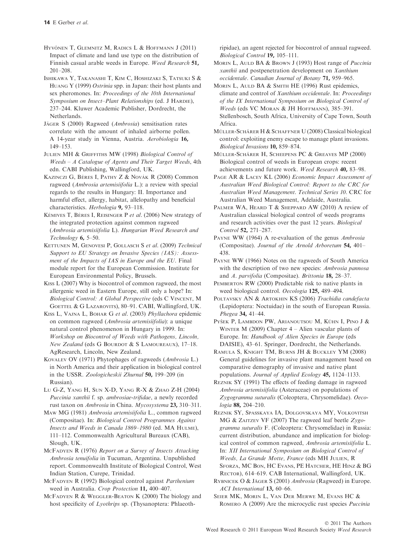HYVÖNEN T, GLEMNITZ M, RADICS L & HOFFMANN J (2011) Impact of climate and land use type on the distribution of Finnish casual arable weeds in Europe. Weed Research 51, 201–208.

ISHIKAWA Y, TAKANASHI T, KIM C, HOSHIZAKI S, TATSUKI S & HUANG Y (1999) Ostrinia spp. in Japan: their host plants and sex pheromones. In: Proceedings of the 10th International Symposium on Insect–Plant Relationships (ed. J HARDIE), 237–244. Kluwer Academic Publisher, Dordrecht, the Netherlands.

JÄGER S (2000) Ragweed (Ambrosia) sensitisation rates correlate with the amount of inhaled airborne pollen. A 14-year study in Vienna, Austria. Aerobiologia 16, 149–153.

JULIEN MH & GRIFFITHS MW (1998) Biological Control of Weeds – A Catalogue of Agents and Their Target Weeds, 4th edn. CABI Publishing, Wallingford, UK.

KAZINCZI G, BÉRES I, PATHY Z & NOVÁK R (2008) Common ragweed (Ambrosia artemisiifolia L.): a review with special regards to the results in Hungary: II. Importance and harmful effect, allergy, habitat, allelopathy and beneficial characteristics. Herbologia 9, 93–118.

KÉMIVES T, BÉRES I, REISINGER P et al. (2006) New strategy of the integrated protection against common ragweed (Ambrosia artemisiifolia L). Hungarian Weed Research and Technology 6, 5–50.

KETTUNEN M, GENOVESI P, GOLLASCH S et al. (2009) Technical Support to EU Strategy on Invasive Species (IAS): Assessment of the Impacts of IAS in Europe and the EU. Final module report for the European Commission. Institute for European Environmental Policy, Brussels.

KISS L (2007) Why is biocontrol of common ragweed, the most allergenic weed in Eastern Europe, still only a hope? In: Biological Control: A Global Perspective (eds C VINCENT, M GOETTEL &GLAZAROVITS), 80–91. CABI, Wallingford, UK.

KISS L, VAJNA L, BOHAR G et al. (2003) Phyllachora epidemic on common ragweed (Ambrosia artemisiifolia): a unique natural control phenomenon in Hungary in 1999. In: Workshop on Biocontrol of Weeds with Pathogens, Lincoln, New Zealand (eds G BOURDOT & S LAMOUREAUX), 17-18. AgResearch, Lincoln, New Zealand.

KOVALEV OV (1971) Phytophages of ragweeds (Ambrosia L.) in North America and their application in biological control in the USSR. Zoologicheskii Zhurnal 50, 199–209 (in Russian).

LU G-Z, YANG H, SUN X-D, YANG R-X & ZHAO Z-H (2004) Puccinia xanthii f. sp. ambrosiae-trifidae, a newly recorded rust taxon on Ambrosia in China. Mycosystema 23, 310–311.

MAW MG (1981) Ambrosia artemisiifolia L., common ragweed (Compositae). In: Biological Control Programmes Against Insects and Weeds in Canada 1869–1980 (ed. MA HULME), 111–112. Commonwealth Agricultural Bureaux (CAB), Slough, UK.

MCFADYEN R (1976) Report on a Survey of Insects Attacking Ambrosia tenuifolia in Tucuman, Argentina. Unpublished report. Commonwealth Institute of Biological Control, West Indian Station, Curepe, Trinidad.

MCFADYEN R (1992) Biological control against Parthenium weed in Australia. Crop Protection 11, 400–407.

MCFADYEN R & WEGGLER-BEATON K (2000) The biology and host specificity of Lyothrips sp. (Thysanoptera: Phlaeothripidae), an agent rejected for biocontrol of annual ragweed. Biological Control 19, 105–111.

MORIN L, AULD BA & BROWN J (1993) Host range of Puccinia xanthii and postpenetration development on Xanthium occidentale. Canadian Journal of Botany 71, 959–965.

MORIN L, AULD BA & SMITH HE (1996) Rust epidemics, climate and control of Xanthium occidentale. In: Proceedings of the IX International Symposium on Biological Control of Weeds (eds VC MORAN & JH HOFFMANN), 385-391. Stellenbosch, South Africa, University of Cape Town, South Africa.

MÜLLER-SCHÄRER H & SCHAFFNER U (2008) Classical biological control: exploiting enemy escape to manage plant invasions. Biological Invasions 10, 859–874.

MÜLLER-SCHÄRER H, SCHEEPENS PC & GREAVES MP (2000) Biological control of weeds in European crops: recent achievements and future work. Weed Research 40, 83–98.

PAGE AR & LACEY KL (2006) Economic Impact Assessment of Australian Weed Biological Control: Report to the CRC for Australian Weed Management. Technical Series 10. CRC for Australian Weed Management, Adelaide, Australia.

PALMER WA, HEARD T & SHEPPARD AW (2010) A review of Australian classical biological control of weeds programs and research activities over the past 12 years. Biological Control 52, 271–287.

PAYNE WW (1964) A re-evaluation of the genus Ambrosia (Compositae). Journal of the Arnold Arboretum 54, 401– 438.

PAYNE WW (1966) Notes on the ragweeds of South America with the description of two new species: Ambrosia pannosa and A. parvifolia (Compositae). Brittonia 18, 28–37.

PEMBERTON RW (2000) Predictable risk to native plants in weed biological control. Oecologia 125, 489–494.

POLTAVSKY AN & ARTOKHIN KS (2006) Trachidia candefacta (Lepidoptera: Noctuidae) in the south of European Russia. Phegea 34, 41–44.

PYŠEK P, LAMBDON PW, ARIANOUTSOU M, KÜHN I, PINO J & WINTER  $M$  (2009) Chapter 4 – Alien vascular plants of Europe. In: Handbook of Alien Species in Europe (eds DAISIE), 43–61. Springer, Dordrecht, the Netherlands.

RAMULA S, KNIGHT TM, BURNS JH & BUCKLEY YM (2008) General guidelines for invasive plant management based on comparative demography of invasive and native plant populations. Journal of Applied Ecology 45, 1124–1133.

REZNIK SY (1991) The effects of feeding damage in ragweed Ambrosia artemisiifolia (Asteraceae) on populations of Zygogramma suturalis (Coleoptera, Chrysomelidae). Oecologia 88, 204–210.

REZNIK SY, SPASSKAYA IA, DOLGOVSKAYA MY, VOLKOVITSH MG & ZAITZEV VF (2007) The ragweed leaf beetle Zygogramma suturalis F. (Coleoptera: Chrysomelidae) in Russia: current distribution, abundance and implication for biological control of common ragweed, Ambrosia artemisiifolia L. In: XII International Symposium on Biological Control of Weeds, La Grande Motte, France (eds MH JULIEN, R SFORZA, MC BON, HC EVANS, PE HATCHER, HE HINZ & BG RECTOR), 614–619. CAB International, Wallingford, UK.

RYBNICEK O & JÄGER S (2001) Ambrosia (Ragweed) in Europe. ACI International 13, 60–66.

SEIER MK, MORIN L, VAN DER MERWE M, EVANS HC & ROMERO A (2009) Are the microcyclic rust species Puccinia